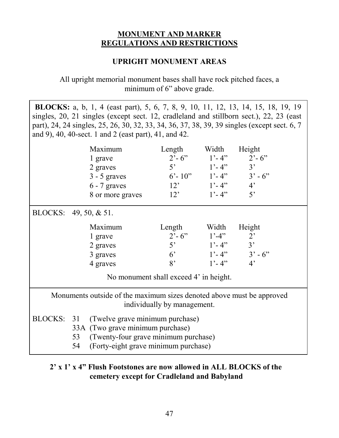#### **MONUMENT AND MARKER REGULATIONS AND RESTRICTIONS**

#### **UPRIGHT MONUMENT AREAS**

All upright memorial monument bases shall have rock pitched faces, a minimum of 6" above grade.

|                                                                                                                                                                            | <b>BLOCKS:</b> a, b, 1, 4 (east part), 5, 6, 7, 8, 9, 10, 11, 12, 13, 14, 15, 18, 19, 19<br>singles, 20, 21 singles (except sect. 12, cradleland and stillborn sect.), 22, 23 (east<br>part), 24, 24 singles, 25, 26, 30, 32, 33, 34, 36, 37, 38, 39, 39 singles (except sect. 6, 7<br>and 9), 40, 40-sect. 1 and 2 (east part), 41, and 42. |                                                                            |                                                                     |                              |  |  |  |
|----------------------------------------------------------------------------------------------------------------------------------------------------------------------------|----------------------------------------------------------------------------------------------------------------------------------------------------------------------------------------------------------------------------------------------------------------------------------------------------------------------------------------------|----------------------------------------------------------------------------|---------------------------------------------------------------------|------------------------------|--|--|--|
|                                                                                                                                                                            | Maximum Length Width<br>1 grave<br>2 graves<br>$3 - 5$ graves 6'-10" 1'-4" 3'-6"<br>$6 - 7$ graves<br>8 or more graves $12'$ $1'-4''$ 5'                                                                                                                                                                                                     | $2^5 - 6$ " $1^5 - 4$ " $2^5 - 6$ "<br>5' $1^5 - 4$ " 3'<br>12' $1'-4'$ 4' |                                                                     | Height                       |  |  |  |
| BLOCKS: 49, 50, & 51.                                                                                                                                                      |                                                                                                                                                                                                                                                                                                                                              |                                                                            |                                                                     |                              |  |  |  |
|                                                                                                                                                                            | Maximum<br>1 grave<br>2 graves<br>3 graves<br>4 graves<br>No monument shall exceed 4' in height.                                                                                                                                                                                                                                             | Length Width                                                               | $2^5 - 6$ " $1^5 - 4$ " $2^5$<br>5' $1^5 - 4$ " 3'<br>$8'$ 1'-4" 4' | Height<br>6' $1'-4"$ 3' - 6" |  |  |  |
| Monuments outside of the maximum sizes denoted above must be approved<br>individually by management.                                                                       |                                                                                                                                                                                                                                                                                                                                              |                                                                            |                                                                     |                              |  |  |  |
| BLOCKS: 31 (Twelve grave minimum purchase)<br>33A (Two grave minimum purchase)<br>(Twenty-four grave minimum purchase)<br>53<br>(Forty-eight grave minimum purchase)<br>54 |                                                                                                                                                                                                                                                                                                                                              |                                                                            |                                                                     |                              |  |  |  |

# **2' x 1' x 4" Flush Footstones are now allowed in ALL BLOCKS of the cemetery except for Cradleland and Babyland**